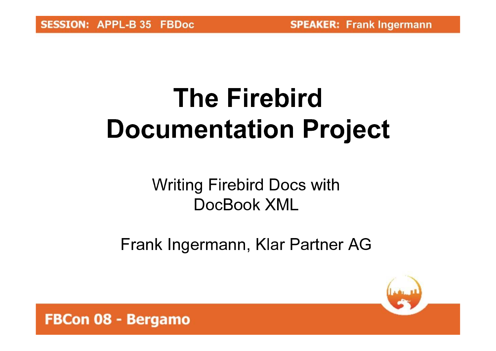# **The Firebird Documentation Project**

### **Writing Firebird Docs with** DocBook XML

Frank Ingermann, Klar Partner AG

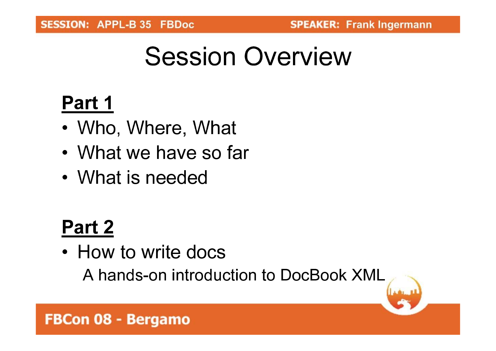## **Session Overview**

### Part 1

- Who, Where, What
- What we have so far
- What is needed

### Part 2

• How to write docs

A hands-on introduction to DocBook XML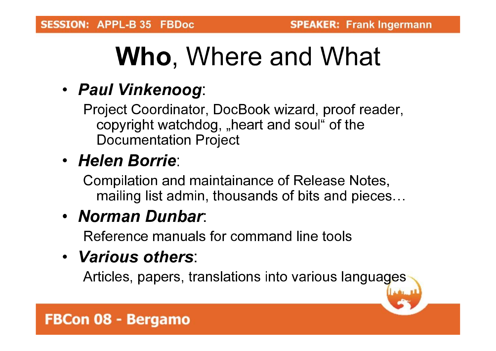## Who, Where and What

### • Paul Vinkenoog:

Project Coordinator, DocBook wizard, proof reader, copyright watchdog, "heart and soul" of the Documentation Project

#### • Helen Borrie #

Compilation and maintainance of Release Notes, mailing list admin, thousands of bits and pieces…

### • Norman Dunbar:

Reference manuals for command line tools

### • Various others:

Articles, papers, translations into various languages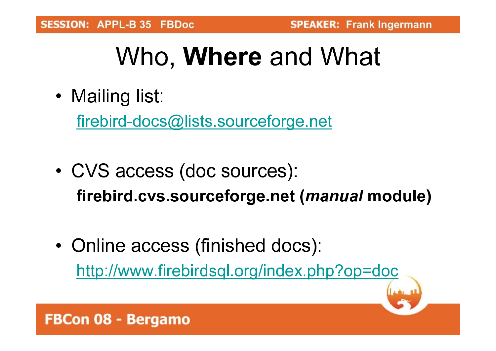# Who, **Where** and What

• Mailing list:

firebird-docs@lists.sourceforge.net

- CVS access (doc sources): firebird.cvs.sourceforge.net (*manual* module)
- Online access (finished docs): http://www.firebirdsql.org/index.php?op=doc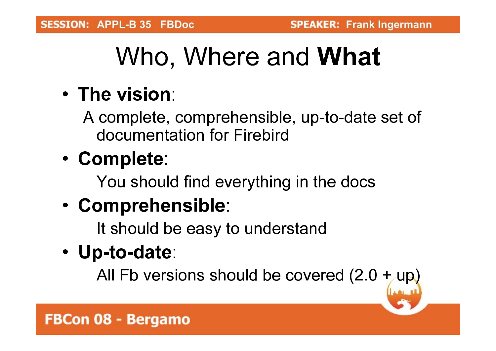# Who, Where and **What**

### • The vision:

A complete, comprehensible, up-to-date set of documentation for Firebird

### • Complete:

You should find everything in the docs

### • Comprehensible:

It should be easy to understand

• Up-to-date:

All Fb versions should be covered (2.0)  $+$  up)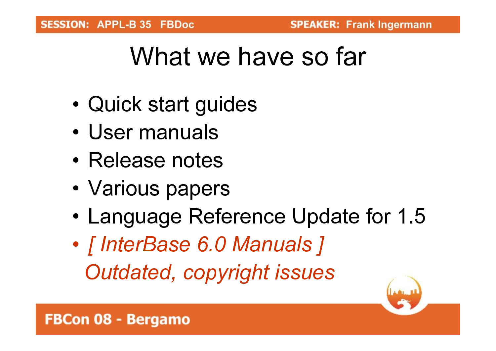## What we have so far

- Quick start guides
- User manuals
- Release notes
- Various papers
- Language Reference Update for 1.5
- [InterBase 6.0 Manuals ] Outdated, copyright issues

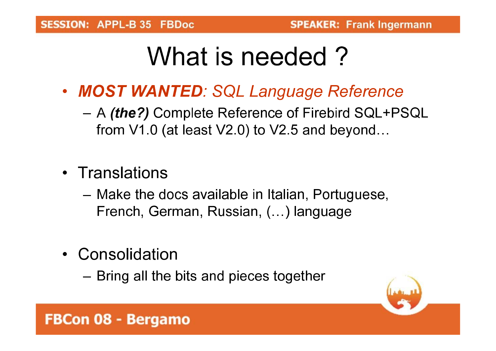## What is needed?

- MOST WANTED: SQL Language Reference
	- A *(the?)* Complete Reference of Firebird SQL+PSQL from V1.0 (at least V2.0) to V2.5 and beyond...
- Translations
	- Make the docs available in Italian, Portuguese, French, German, Russian, (...) language
- Consolidation
	- Bring all the bits and pieces together

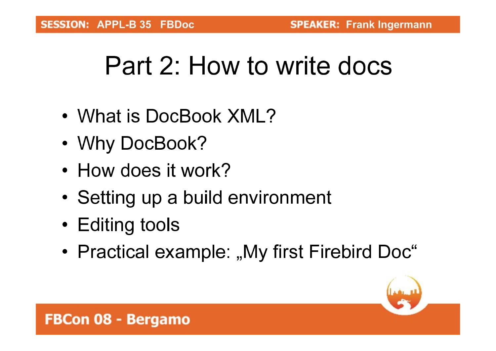## Part 2: How to write docs

- What is DocBook XML?
- Why DocBook?
- How does it work?
- Setting up a build environment
- Editing tools
- Practical example: "My first Firebird Doc"

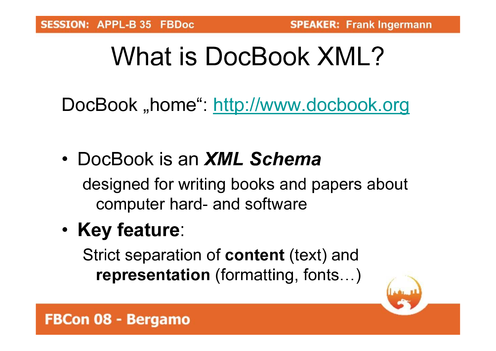## What is DocBook XMI?

DocBook "home": http://www.docbook.org

- DocBook is an **XML Schema** designed for writing books and papers about computer hard- and software
- Key feature:

Strict separation of **content** (text) and representation (formatting, fonts...)

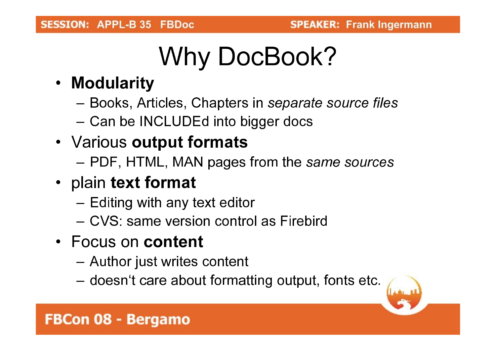# Why DocBook?

- Modularity
	- Books, Articles, Chapters in separate source files
	- Can be INCLUDEd into bigger docs
- Various output formats
	- PDF, HTML, MAN pages from the same sources
- plain text format
	- Editing with any text editor
	- CVS: same version control as Firebird
- Focus on content
	- Author just writes content
	- doesn't care about formatting output, fonts etc.

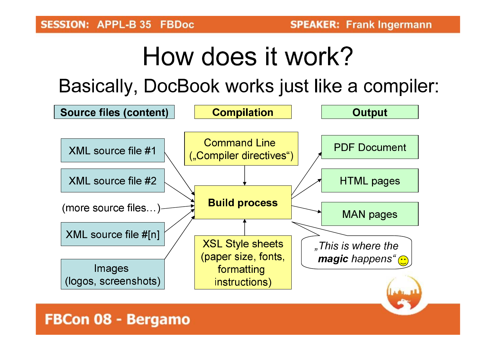## How does it work?

Basically, DocBook works just like a compiler:

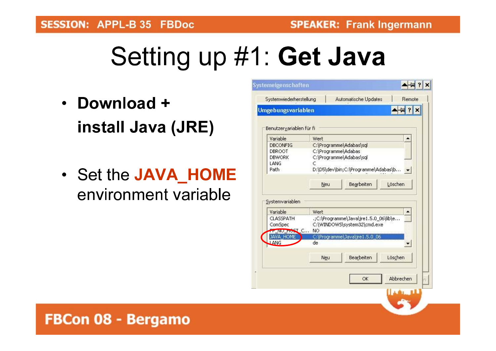FBCon 08 - Bergamo

# Setting up #1: Get Java

- Download + install Java (JRE)
- Set the JAVA HOME environment variable

|                          | <b>Umgebungsvariablen</b>                                            |
|--------------------------|----------------------------------------------------------------------|
| Benutzervariablen für fi |                                                                      |
| Variable                 | Wert                                                                 |
| <b>DBCONFIG</b>          | C:\Programme\Adabas\sql                                              |
| DBROOT                   | C:\Programme\Adabas                                                  |
| <b>DBWORK</b><br>LANG    | C:\Programme\Adabas\sql<br>c                                         |
| Path                     | D:\D5\dev\bin;C:\Programme\Adabas\b                                  |
|                          |                                                                      |
|                          | Bearbeiten<br>Löschen<br>Neu                                         |
|                          |                                                                      |
| Systemvariablen          |                                                                      |
|                          |                                                                      |
| Variable                 | Wert                                                                 |
| <b>CLASSPATH</b>         | .;C:\Programme\Java\jre1.5.0_06\lib\e<br>C:\WINDOWS\system32\cmd.exe |
|                          |                                                                      |
| ComSpec                  |                                                                      |
| PENO_HOST_C<br>JAVA_HOME | NO<br>C:\Programme\Java\jre1.5.0_06                                  |
| LANG                     | de                                                                   |
|                          |                                                                      |
|                          | Bearbeiten<br>Löschen<br>Neu                                         |
|                          |                                                                      |
|                          |                                                                      |
|                          | Abbrechen<br>OK                                                      |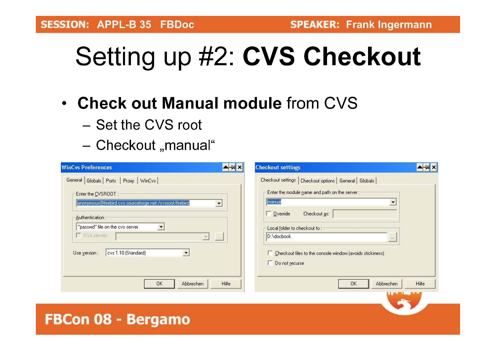# Setting up #2: CVS Checkout

- Check out Manual module from CVS
	- Set the CVS root
	- Checkout "manual"

| <b>WinCvs Preferences</b>                                   | A-WX<br><b>Checkout settings</b>                                | $+ 4x$                          |
|-------------------------------------------------------------|-----------------------------------------------------------------|---------------------------------|
| General Globals Ports Proxy WinCvs                          | Checkout settings   Checkout options   General   Globals        |                                 |
| Enter the CVSROOT:                                          | Enter the module name and path on the server :-                 |                                 |
| anonymous@firebird.cvs.sourceforge.net:/cvsroot/firebird    | manual                                                          |                                 |
| Authentication:                                             | Checkout as:<br><b>Override</b>                                 |                                 |
| "passwd" file on the cvs server<br>۳                        | Local folder to checkout to:                                    |                                 |
| F RSA identity:<br>$\lfloor \cdot \rfloor$<br>$\mathcal{F}$ | D:\docbook<br>(1,1,1)                                           |                                 |
| cvs 1.10 (Standard)<br>Use version :                        | $\Box$ Checkout files to the console window (avoids stickiness) |                                 |
|                                                             | Do not recurse                                                  |                                 |
|                                                             |                                                                 |                                 |
| <b>Hilfe</b><br><b>OK</b><br>Abbrechen                      | OK.<br>Abbrechen                                                | Hilfe<br><b>Light Line Line</b> |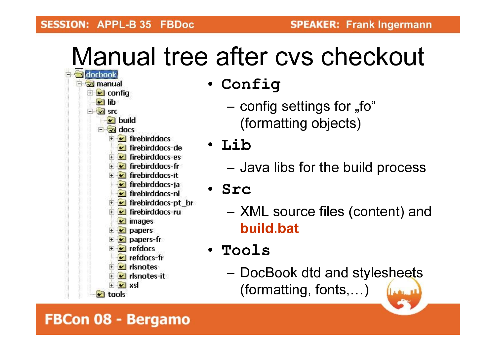# Manual tree after cys checkout



- Config
	- config settings for "fo" (formatting objects)
- Lib
	- Java libs for the build process
- · Src
	- XML source files (content) and build.bat
- · Tools
	- DocBook dtd and stylesheets (formatting, fonts,...) لسنفملأ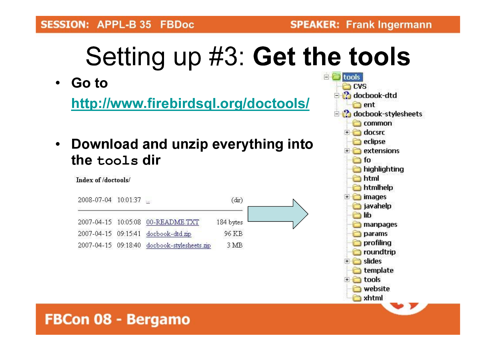#### **SESSION: APPL-B 35 FBDoc**

 $\blacksquare$  tools

# Setting up #3: Get the tools

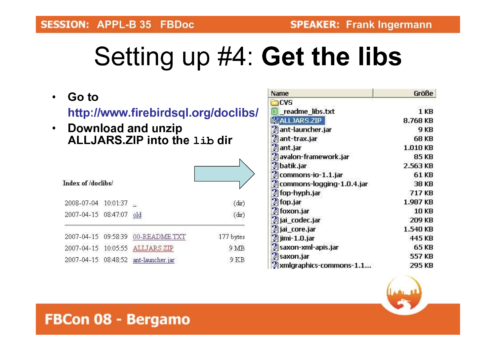# Setting up #4: Get the libs

Go to  $\bullet$ http://www.firebirdsql.org/doclibs/ **Download and unzip**  $\bullet$ ALLJARS ZIP into the 1ib dir Index of /doclibs/

| 2008-07-04 10:01:37     |                                      | (dx)      |
|-------------------------|--------------------------------------|-----------|
| 2007-04-15 08:47:07 old |                                      | (dr)      |
|                         | 2007-04-15 09:58:39 00-README.TXT    | 177 bytes |
|                         | 2007-04-15 10:05:55 ALLJARS.ZIP      | 9 MB      |
|                         | 2007-04-15 08:48:52 ant-launcher.jar | 9 KB      |

| Name                      | Größe           |
|---------------------------|-----------------|
| <b>CVS</b>                |                 |
| readme_libs.txt           | 1 <sub>KB</sub> |
| <b>ALLJARS.ZIP</b>        | 8.768 KB        |
| ant-launcher.jar          | 9 KB            |
| ant-trax.jar              | 68 KB           |
| ant.jar                   | 1.010 KB        |
| avalon-framework.jar      | 85 KB           |
| batik.jar                 | 2.563 KB        |
| commons-io-1.1.jar        | 61 KB           |
| commons-logging-1.0.4.jar | 38 KB           |
| d fop-hyph.jar            | 717 KB          |
| d fop.jar                 | 1.987 KB        |
| foxon.jar                 | <b>10 KB</b>    |
| jai_codec.jar             | 209 KB          |
| jai_core.jar              | 1.540 KB        |
| jimi-1.0.jar              | 445 KB          |
| ¦∕¦saxon-xml-apis.jar     | 65 KB           |
| saxon.jar                 | 557 KB          |
| xmlgraphics-commons-1.1   | 295 KB          |

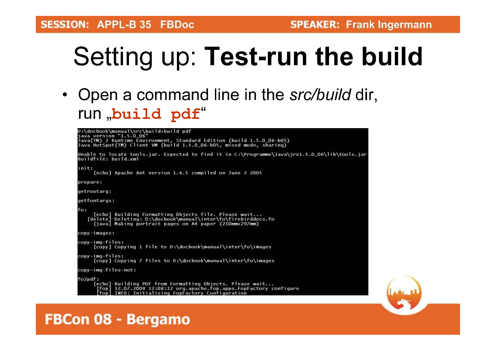# Setting up: Test-run the build

• Open a command line in the src/build dir, run "build pdf"

| D:\docbook\manual\src\build>build pdf<br>iava version "1.5.0 06"                                                                                                                         |  |
|------------------------------------------------------------------------------------------------------------------------------------------------------------------------------------------|--|
| Java(TM) 2 Runtime Environment, Standard Edition (build 1.5.0_06-b05)<br>Java HotSpot(TM) Client VM (build 1.5.0_06-b05, mixed mode, sharing)                                            |  |
| Unable to locate tools.jar. Expected to find it in C:\Programme\Java\jre1.5.0_06\lib\tools.jar<br>Buildfile: build.xml                                                                   |  |
| init:<br>[echo] Apache Ant version 1.6.5 compiled on June 2 2005                                                                                                                         |  |
| prepare:                                                                                                                                                                                 |  |
| getrootarg:                                                                                                                                                                              |  |
| getfontargs:                                                                                                                                                                             |  |
| fo:<br>[echo] Building Formatting Objects file. Please wait<br>[delete] Deleting: D:\docbook\manual\inter\fo\firebirddocs.fo<br>[java] Making portrait pages on A4 paper (210mmx297mm)   |  |
| copy-images:                                                                                                                                                                             |  |
| copy-img-files:<br>[copy] Copying 1 file to D:\docbook\manual\inter\fo\images                                                                                                            |  |
| copy-img-files:<br>[copy] Copying 7 files to D:\docbook\manual\inter\fo\images                                                                                                           |  |
| copy-img-files-not:                                                                                                                                                                      |  |
| fo2pdf:<br>[echo] Building PDF from Formatting Objects. Please wait<br>[fop] 12.07.2008 12:08:32 org.apache.fop.apps.FopFactory configure<br>INFO: Initializing FooFactory Configuration |  |
|                                                                                                                                                                                          |  |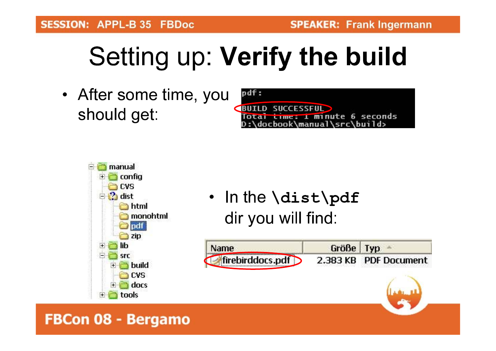# Setting up: Verify the build

• After some time, you should get:





• In the \dist\pdf dir you will find:

| $\sim$ ame $\sim$                 | Größe Typ |                       |
|-----------------------------------|-----------|-----------------------|
| $\blacktriangle$ firebirddocs.pdf |           | 2.383 KB PDF Document |

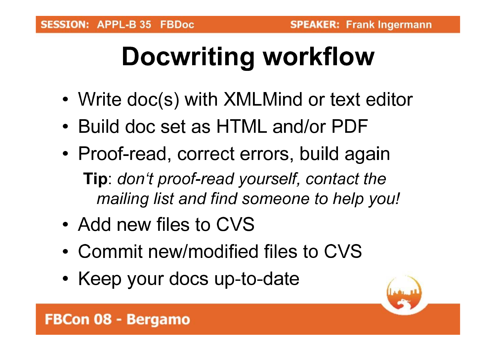# **Docwriting workflow**

- Write doc(s) with XMLMind or text editor
- Build doc set as HTML and/or PDF
- Proof-read, correct errors, build again **Tip:** don't proof-read yourself, contact the mailing list and find someone to help you!
- Add new files to CVS
- Commit new/modified files to CVS
- Keep your docs up-to-date

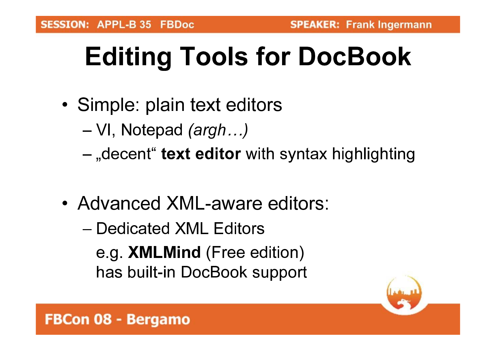# **Editing Tools for DocBook**

- Simple: plain text editors
	- $-VI$ , Notepad (argh...)
	- -, decent "text editor with syntax highlighting
- Advanced XML-aware editors:
	- Dedicated XML Editors e.g. XMLMind (Free edition) has built-in DocBook support

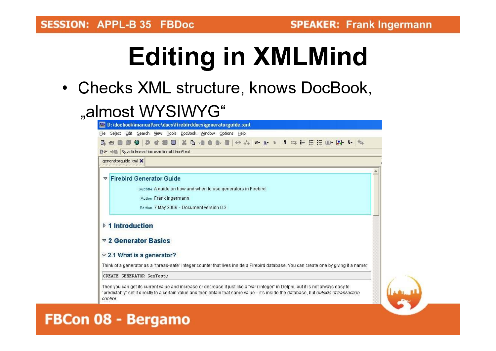# **Editing in XMLMind**

• Checks XML structure, knows DocBook,

### "almost WYSIWYG"

| BY D:\docbook\manual\src\docs\firebirddocs\generatorguide.xml                                                                                                                                                                                                                                     |  |
|---------------------------------------------------------------------------------------------------------------------------------------------------------------------------------------------------------------------------------------------------------------------------------------------------|--|
| File Select Edit Search View Tools DocBook Window Options Help                                                                                                                                                                                                                                    |  |
| 0 2 C 8 8 X B - 0 0 & 1   + + + a + a   1 = E E E E + B + + 4<br>$R \triangleq$                                                                                                                                                                                                                   |  |
| <b>B</b> $\leftrightarrow$ <b>B</b> $\arrow$ article =section =section =title =#text                                                                                                                                                                                                              |  |
| generatorquide.xml X                                                                                                                                                                                                                                                                              |  |
|                                                                                                                                                                                                                                                                                                   |  |
| <b>Firebird Generator Guide</b><br>▽                                                                                                                                                                                                                                                              |  |
| Subtitle A quide on how and when to use generators in Firebird                                                                                                                                                                                                                                    |  |
| Author Frank Ingermann                                                                                                                                                                                                                                                                            |  |
| Edition 7 May 2006 - Document version 0.2                                                                                                                                                                                                                                                         |  |
|                                                                                                                                                                                                                                                                                                   |  |
| ▷ 1 Introduction                                                                                                                                                                                                                                                                                  |  |
|                                                                                                                                                                                                                                                                                                   |  |
| $\sqrt{2}$ Generator Basics                                                                                                                                                                                                                                                                       |  |
| $\approx$ 2.1 What is a generator?                                                                                                                                                                                                                                                                |  |
| Think of a generator as a "thread-safe" integer counter that lives inside a Firebird database. You can create one by giving it a name:                                                                                                                                                            |  |
| CREATE GENERATOR GenTest;                                                                                                                                                                                                                                                                         |  |
|                                                                                                                                                                                                                                                                                                   |  |
| Then you can get its current value and increase or decrease it just like a "var itinteger" in Delphi, but it is not always easy to<br>'predictably'' set it directly to a certain value and then obtain that same value - it's inside the database, but <i>outside of transaction</i><br>control. |  |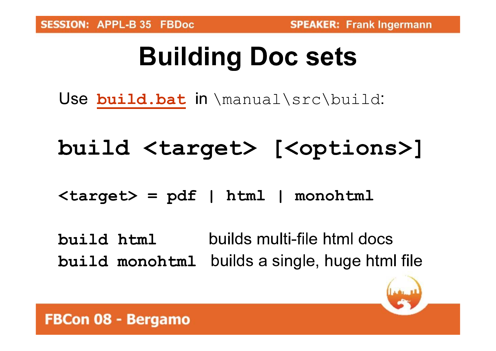# **Building Doc sets**

Use build. bat in \manual\src\build:

### build <target> [<options>]

 $\langle target \rangle = pdf$  | html | monohtml

builds multi-file html docs build html build monohtml builds a single, huge html file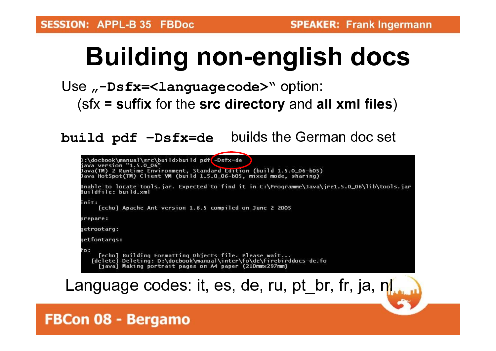# **Building non-english docs**

#### Use  $\mu$ -Dsfx=<languagecode>" option:  $(sfx = suffix for the src directory and all xml files)$

build pdf -Dsfx=de builds the German doc set



### Language codes: it, es, de, ru, pt\_br, fr, ja, nl., n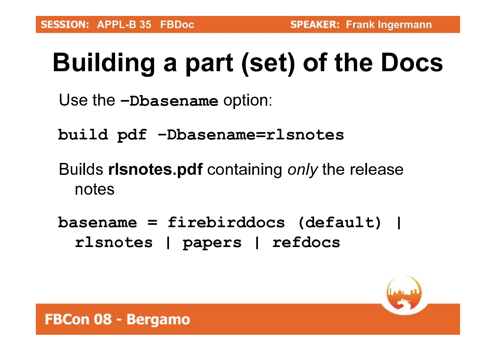# **Building a part (set) of the Docs**

```
Use the -Dbasename option:
```

```
build pdf -Dbasename=rlsnotes
```
- Builds risnotes.pdf containing only the release notes
- basename = firebirddocs (default) | rlsnotes | papers | refdocs

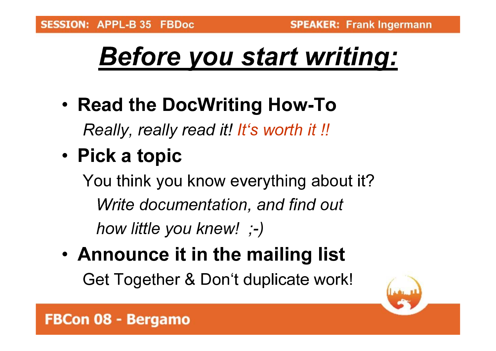# **Before you start writing:**

- Read the DocWriting How-To Really, really read it! It's worth it !!
- Pick a topic

You think you know everything about it? Write documentation, and find out how little you knew! ;-)

. Announce it in the mailing list Get Together & Don't duplicate work!

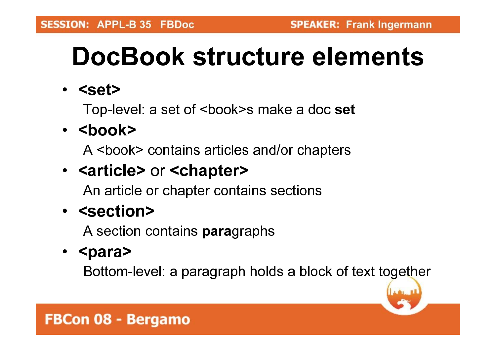# DocBook structure elements

 $\cdot$  <set>

Top-level: a set of <book>s make a doc set

### $\cdot$  <book>

A <br />book> contains articles and/or chapters

### • <article> or <chapter>

An article or chapter contains sections

### • <section>

A section contains **paragraphs** 

### $\cdot$  <para>

Bottom-level: a paragraph holds a block of text together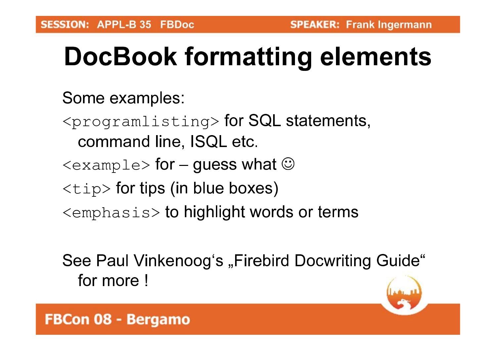# **DocBook formatting elements**

Some examples:

- $\langle$  programlisting> for SQL statements, command line, ISQL etc.
- $\langle$  example> for guess what  $\odot$
- $\langle \text{tip}\rangle$  for tips (in blue boxes)
- $\leq$ emphasis> to highlight words or terms

See Paul Vinkenoog's "Firebird Docwriting Guide" for more!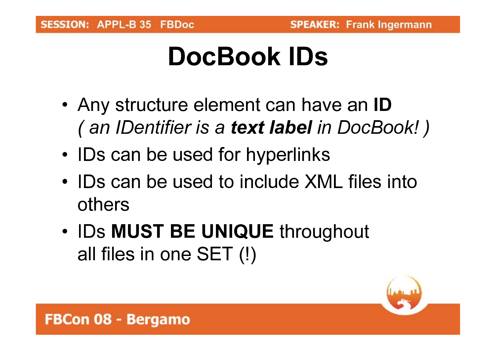## DocBook IDs

- Any structure element can have an ID (an IDentifier is a text label in DocBook!)
- IDs can be used for hyperlinks
- IDs can be used to include XML files into others
- IDs MUST BE UNIQUE throughout all files in one SET (!)

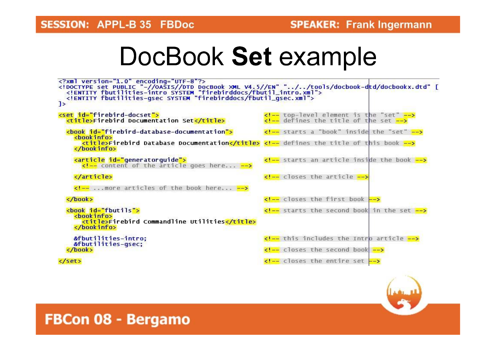### DocBook Set example



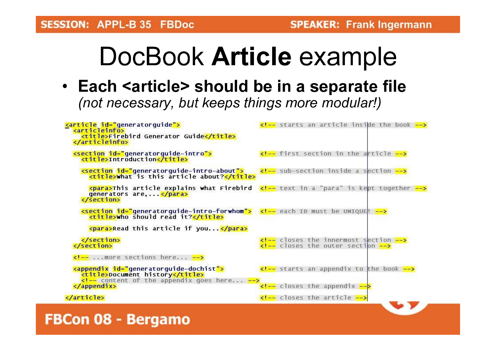## DocBook Article example

• Each <article> should be in a separate file (not necessary, but keeps things more modular!)

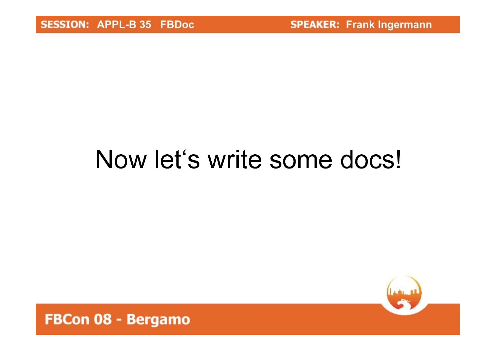# Now let's write some docs!

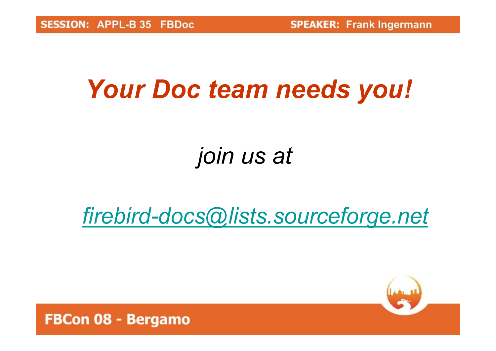**SPEAKER: Frank Ingermann** 

## Your Doc team needs you!

### join us at

### firebird-docs@lists.sourceforge.net